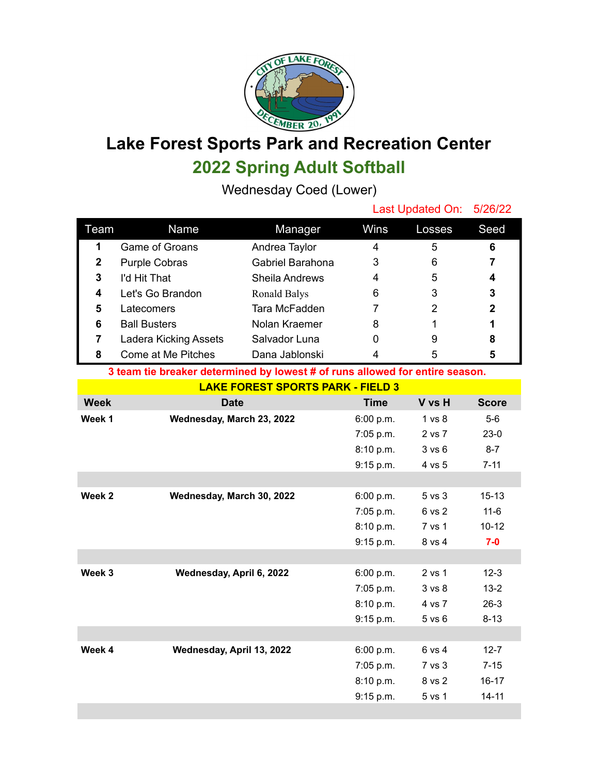

## **Lake Forest Sports Park and Recreation Center 2022 Spring Adult Softball**

Wednesday Coed (Lower)

|                                                                              |                              |                       |                | Last Updated On:<br>5/26/22 |                         |  |  |  |
|------------------------------------------------------------------------------|------------------------------|-----------------------|----------------|-----------------------------|-------------------------|--|--|--|
| Team                                                                         | Name                         | Manager               | <b>Wins</b>    | Losses                      | Seed                    |  |  |  |
| $\mathbf{1}$                                                                 | Game of Groans               | Andrea Taylor         | $\overline{4}$ | 5                           | 6                       |  |  |  |
| $\mathbf 2$                                                                  | <b>Purple Cobras</b>         | Gabriel Barahona      | 3              | 6                           | $\overline{\mathbf{7}}$ |  |  |  |
| 3                                                                            | I'd Hit That                 | <b>Sheila Andrews</b> | 4              | 5                           | 4                       |  |  |  |
| 4                                                                            | Let's Go Brandon             | <b>Ronald Balys</b>   | 6              | 3                           | 3                       |  |  |  |
| 5                                                                            | Latecomers                   | Tara McFadden         | 7              | 2                           | $\mathbf 2$             |  |  |  |
| 6                                                                            | <b>Ball Busters</b>          | Nolan Kraemer         | 8              | 1                           | 1                       |  |  |  |
| $\overline{7}$                                                               | <b>Ladera Kicking Assets</b> | Salvador Luna         | $\Omega$       | 9                           | 8                       |  |  |  |
| 8                                                                            | Come at Me Pitches           | Dana Jablonski        | 4              | 5                           | 5                       |  |  |  |
| 3 team tie breaker determined by lowest # of runs allowed for entire season. |                              |                       |                |                             |                         |  |  |  |
| <b>LAKE FOREST SPORTS PARK - FIELD 3</b>                                     |                              |                       |                |                             |                         |  |  |  |
| <b>Week</b>                                                                  | <b>Date</b>                  |                       | <b>Time</b>    | V vs H                      | <b>Score</b>            |  |  |  |
| Week 1                                                                       | Wednesday, March 23, 2022    |                       | 6:00 p.m.      | 1 vs 8                      | $5-6$                   |  |  |  |
|                                                                              |                              |                       | 7:05 p.m.      | 2 vs 7                      | $23-0$                  |  |  |  |
|                                                                              |                              |                       | 8:10 p.m.      | 3 v s 6                     | $8 - 7$                 |  |  |  |
|                                                                              |                              |                       | 9:15 p.m.      | 4 vs 5                      | $7 - 11$                |  |  |  |
|                                                                              |                              |                       |                |                             |                         |  |  |  |
| Week 2                                                                       | Wednesday, March 30, 2022    |                       | 6:00 p.m.      | 5 vs 3                      | $15 - 13$               |  |  |  |
|                                                                              |                              |                       | 7:05 p.m.      | 6 vs 2                      | $11 - 6$                |  |  |  |
|                                                                              |                              |                       | 8:10 p.m.      | 7 vs 1                      | $10 - 12$               |  |  |  |
|                                                                              |                              |                       | 9:15 p.m.      | 8 vs 4                      | $7-0$                   |  |  |  |
|                                                                              |                              |                       |                |                             |                         |  |  |  |
| Week 3                                                                       | Wednesday, April 6, 2022     |                       | 6:00 p.m.      | 2 vs 1                      | $12 - 3$                |  |  |  |
|                                                                              |                              |                       | 7:05 p.m.      | 3 <sub>vs</sub> 8           | $13 - 2$                |  |  |  |
|                                                                              |                              |                       | 8:10 p.m.      | 4 vs 7                      | $26-3$                  |  |  |  |
|                                                                              |                              |                       | 9:15 p.m.      | $5$ vs $6$                  | $8 - 13$                |  |  |  |
|                                                                              |                              |                       |                |                             |                         |  |  |  |
| Week 4                                                                       | Wednesday, April 13, 2022    |                       | 6:00 p.m.      | 6 vs 4                      | $12 - 7$                |  |  |  |

7:05 p.m. 7 vs 3 7-15 8:10 p.m. 8 vs 2 16-17 9:15 p.m. 5 vs 1 14-11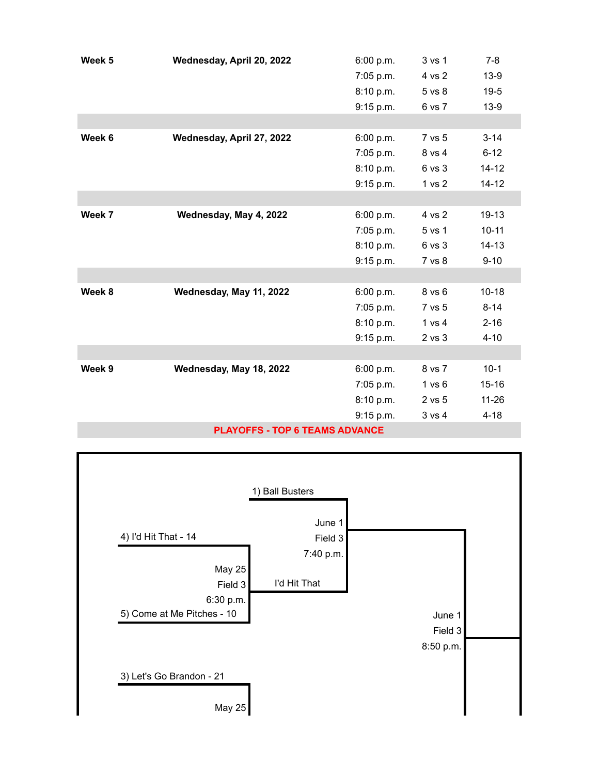| Week 5 | Wednesday, April 20, 2022             | 6:00 p.m. | 3 vs 1            | $7 - 8$   |
|--------|---------------------------------------|-----------|-------------------|-----------|
|        |                                       | 7:05 p.m. | 4 vs 2            | $13-9$    |
|        |                                       | 8:10 p.m. | 5 vs 8            | $19 - 5$  |
|        |                                       | 9:15 p.m. | 6 vs 7            | $13-9$    |
|        |                                       |           |                   |           |
| Week 6 | Wednesday, April 27, 2022             | 6:00 p.m. | 7 vs 5            | $3 - 14$  |
|        |                                       | 7:05 p.m. | 8 vs 4            | $6 - 12$  |
|        |                                       | 8:10 p.m. | 6 vs 3            | $14 - 12$ |
|        |                                       | 9:15 p.m. | 1 <sub>vs</sub> 2 | $14 - 12$ |
|        |                                       |           |                   |           |
| Week 7 | Wednesday, May 4, 2022                | 6:00 p.m. | 4 vs 2            | $19-13$   |
|        |                                       | 7:05 p.m. | 5 vs 1            | $10 - 11$ |
|        |                                       | 8:10 p.m. | 6 vs 3            | $14 - 13$ |
|        |                                       | 9:15 p.m. | 7 vs 8            | $9 - 10$  |
|        |                                       |           |                   |           |
| Week 8 | Wednesday, May 11, 2022               | 6:00 p.m. | 8 vs 6            | $10 - 18$ |
|        |                                       | 7:05 p.m. | 7 vs 5            | $8 - 14$  |
|        |                                       | 8:10 p.m. | 1 vs 4            | $2 - 16$  |
|        |                                       | 9:15 p.m. | 2 vs 3            | $4 - 10$  |
|        |                                       |           |                   |           |
| Week 9 | Wednesday, May 18, 2022               | 6:00 p.m. | 8 vs 7            | $10-1$    |
|        |                                       | 7:05 p.m. | 1 v s 6           | $15 - 16$ |
|        |                                       | 8:10 p.m. | 2 vs 5            | $11 - 26$ |
|        |                                       | 9:15 p.m. | 3 vs 4            | $4 - 18$  |
|        | <b>BLAVAPPA, PARA PPAILA ARVAILAP</b> |           |                   |           |